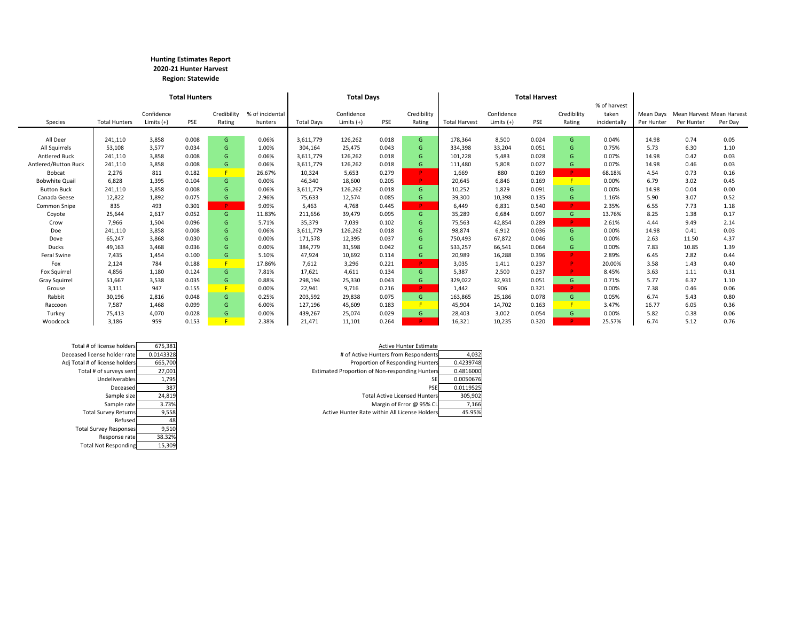#### **Hunting Estimates Report 2020‐21 Hunter Harvest Region: Statewide**

|                       |                      |              | <b>Total Hunters</b> |             |                 |                   | <b>Total Days</b> |       |             |                      |              | <b>Total Harvest</b> |             |              |            |                                     |         |
|-----------------------|----------------------|--------------|----------------------|-------------|-----------------|-------------------|-------------------|-------|-------------|----------------------|--------------|----------------------|-------------|--------------|------------|-------------------------------------|---------|
|                       |                      |              |                      |             |                 |                   |                   |       |             |                      |              |                      |             | % of harvest |            |                                     |         |
|                       |                      | Confidence   |                      | Credibility | % of incidental |                   | Confidence        |       | Credibility |                      | Confidence   |                      | Credibility | taken        |            | Mean Days Mean Harvest Mean Harvest |         |
| Species               | <b>Total Hunters</b> | Limits $(+)$ | <b>PSE</b>           | Rating      | hunters         | <b>Total Davs</b> | Limits $(+)$      | PSE   | Rating      | <b>Total Harvest</b> | Limits $(+)$ | <b>PSE</b>           | Rating      | incidentally | Per Hunter | Per Hunter                          | Per Day |
|                       |                      |              |                      |             |                 |                   |                   |       |             |                      |              |                      |             |              |            |                                     |         |
| All Deer              | 241,110              | 3,858        | 0.008                | G           | 0.06%           | 3,611,779         | 126,262           | 0.018 | G           | 178,364              | 8,500        | 0.024                | G           | 0.04%        | 14.98      | 0.74                                | 0.05    |
| All Squirrels         | 53,108               | 3,577        | 0.034                | G           | 1.00%           | 304,164           | 25,475            | 0.043 | G           | 334,398              | 33,204       | 0.051                | G           | 0.75%        | 5.73       | 6.30                                | 1.10    |
| <b>Antlered Buck</b>  | 241,110              | 3,858        | 0.008                | G.          | 0.06%           | 3,611,779         | 126,262           | 0.018 | G           | 101,228              | 5,483        | 0.028                | G           | 0.07%        | 14.98      | 0.42                                | 0.03    |
| Antlered/Button Buck  | 241,110              | 3,858        | 0.008                | G.          | 0.06%           | 3,611,779         | 126,262           | 0.018 | G           | 111,480              | 5,808        | 0.027                | G           | 0.07%        | 14.98      | 0.46                                | 0.03    |
| Bobcat                | 2,276                | 811          | 0.182                | F           | 26.67%          | 10,324            | 5,653             | 0.279 | P.          | 1,669                | 880          | 0.269                | D.          | 68.18%       | 4.54       | 0.73                                | 0.16    |
| <b>Bobwhite Quail</b> | 6,828                | 1,395        | 0.104                | G.          | 0.00%           | 46,340            | 18,600            | 0.205 | P.          | 20,645               | 6,846        | 0.169                | F.          | 0.00%        | 6.79       | 3.02                                | 0.45    |
| <b>Button Buck</b>    | 241,110              | 3,858        | 0.008                | G.          | 0.06%           | 3,611,779         | 126,262           | 0.018 | G.          | 10,252               | 1,829        | 0.091                | G           | 0.00%        | 14.98      | 0.04                                | 0.00    |
| Canada Geese          | 12,822               | 1,892        | 0.075                | G.          | 2.96%           | 75,633            | 12,574            | 0.085 | G           | 39,300               | 10,398       | 0.135                | G.          | 1.16%        | 5.90       | 3.07                                | 0.52    |
| Common Snipe          | 835                  | 493          | 0.301                | P.          | 9.09%           | 5,463             | 4,768             | 0.445 | p.          | 6.449                | 6,831        | 0.540                | D.          | 2.35%        | 6.55       | 7.73                                | 1.18    |
| Coyote                | 25,644               | 2,617        | 0.052                | G           | 11.83%          | 211,656           | 39,479            | 0.095 | G.          | 35,289               | 6,684        | 0.097                | G.          | 13.76%       | 8.25       | 1.38                                | 0.17    |
| Crow                  | 7,966                | 1,504        | 0.096                | G.          | 5.71%           | 35,379            | 7,039             | 0.102 | G           | 75,563               | 42,854       | 0.289                | <b>P</b>    | 2.61%        | 4.44       | 9.49                                | 2.14    |
| Doe                   | 241,110              | 3,858        | 0.008                | G.          | 0.06%           | 3,611,779         | 126,262           | 0.018 | G           | 98,874               | 6,912        | 0.036                | G.          | 0.00%        | 14.98      | 0.41                                | 0.03    |
| Dove                  | 65,247               | 3,868        | 0.030                | G.          | 0.00%           | 171,578           | 12,395            | 0.037 | G           | 750,493              | 67,872       | 0.046                | G           | 0.00%        | 2.63       | 11.50                               | 4.37    |
| <b>Ducks</b>          | 49,163               | 3,468        | 0.036                | G.          | 0.00%           | 384,779           | 31,598            | 0.042 | G           | 533,257              | 66,541       | 0.064                | G.          | 0.00%        | 7.83       | 10.85                               | 1.39    |
| Feral Swine           | 7,435                | 1,454        | 0.100                | G.          | 5.10%           | 47.924            | 10,692            | 0.114 | G           | 20,989               | 16,288       | 0.396                | P.          | 2.89%        | 6.45       | 2.82                                | 0.44    |
| Fox                   | 2,124                | 784          | 0.188                | F           | 17.86%          | 7,612             | 3,296             | 0.221 | P.          | 3.035                | 1,411        | 0.237                | Þ           | 20.00%       | 3.58       | 1.43                                | 0.40    |
| Fox Squirrel          | 4.856                | 1,180        | 0.124                | G.          | 7.81%           | 17.621            | 4,611             | 0.134 | G           | 5.387                | 2,500        | 0.237                | D.          | 8.45%        | 3.63       | 1.11                                | 0.31    |
| Gray Squirrel         | 51,667               | 3,538        | 0.035                | G.          | 0.88%           | 298.194           | 25,330            | 0.043 | G           | 329,022              | 32,931       | 0.051                | G.          | 0.71%        | 5.77       | 6.37                                | 1.10    |
| Grouse                | 3,111                | 947          | 0.155                | F.          | 0.00%           | 22.941            | 9,716             | 0.216 | P.          | 1,442                | 906          | 0.321                | D.          | 0.00%        | 7.38       | 0.46                                | 0.06    |
| Rabbit                | 30,196               | 2,816        | 0.048                | G.          | 0.25%           | 203.592           | 29,838            | 0.075 | G.          | 163,865              | 25,186       | 0.078                | G.          | 0.05%        | 6.74       | 5.43                                | 0.80    |
| Raccoon               | 7,587                | 1.468        | 0.099                | G.          | 6.00%           | 127.196           | 45,609            | 0.183 | F           | 45,904               | 14.702       | 0.163                | F.          | 3.47%        | 16.77      | 6.05                                | 0.36    |
| Turkey                | 75.413               | 4,070        | 0.028                | G.          | 0.00%           | 439,267           | 25,074            | 0.029 | G.          | 28,403               | 3,002        | 0.054                | G.          | 0.00%        | 5.82       | 0.38                                | 0.06    |
| Woodcock              | 3.186                | 959          | 0.153                |             | 2.38%           | 21.471            | 11.101            | 0.264 | <b>D</b>    | 16.321               | 10.235       | 0.320                |             | 25.57%       | 6.74       | 5.12                                | 0.76    |

|        |                                                                                                                                                                                                                               | 4,032                                                                                                                                                                                                                                                                                                    |
|--------|-------------------------------------------------------------------------------------------------------------------------------------------------------------------------------------------------------------------------------|----------------------------------------------------------------------------------------------------------------------------------------------------------------------------------------------------------------------------------------------------------------------------------------------------------|
|        |                                                                                                                                                                                                                               | 0.4239748                                                                                                                                                                                                                                                                                                |
| 27,001 |                                                                                                                                                                                                                               | 0.4816000                                                                                                                                                                                                                                                                                                |
| 1,795  | SE.                                                                                                                                                                                                                           | 0.0050676                                                                                                                                                                                                                                                                                                |
| 387    | <b>PSE</b>                                                                                                                                                                                                                    | 0.0119525                                                                                                                                                                                                                                                                                                |
| 24,819 |                                                                                                                                                                                                                               | 305,902                                                                                                                                                                                                                                                                                                  |
| 3.73%  |                                                                                                                                                                                                                               | 7,166                                                                                                                                                                                                                                                                                                    |
| 9,558  |                                                                                                                                                                                                                               | 45.95%                                                                                                                                                                                                                                                                                                   |
|        | Total # of license holders<br>675.381<br>Deceased license holder rate<br>Adj Total # of license holders<br>Total # of surveys sent<br>Undeliverables<br>Deceased<br>Sample size<br>Sample rate<br><b>Total Survey Returns</b> | <b>Active Hunter Estimate</b><br># of Active Hunters from Respondents<br>0.0143328<br>Proportion of Responding Hunters<br>665,700<br>Estimated Proportion of Non-responding Hunters<br><b>Total Active Licensed Hunters</b><br>Margin of Error @ 95% CL<br>Active Hunter Rate within All License Holders |

| Active Hu                                | 675,381   | Total # of license holders     |
|------------------------------------------|-----------|--------------------------------|
| # of Active Hunters from                 | 0.0143328 | Deceased license holder rate   |
| Proportion of Respo                      | 665,700   | Adj Total # of license holders |
| <b>Estimated Proportion of Non-respo</b> | 27,001    | Total # of surveys sent        |
|                                          | 1,795     | Undeliverables                 |
|                                          | 387       | Deceased                       |
| <b>Total Active Lice</b>                 | 24,819    | Sample size                    |
| Margin of Er                             | 3.73%     | Sample rate                    |
| Active Hunter Rate within All Li         | 9,558     | <b>Total Survey Returns</b>    |
|                                          | 48        | Refused                        |
|                                          | 9,510     | <b>Total Survey Responses</b>  |
|                                          | 38.32%    | Response rate                  |
|                                          | 15,309    | <b>Total Not Responding</b>    |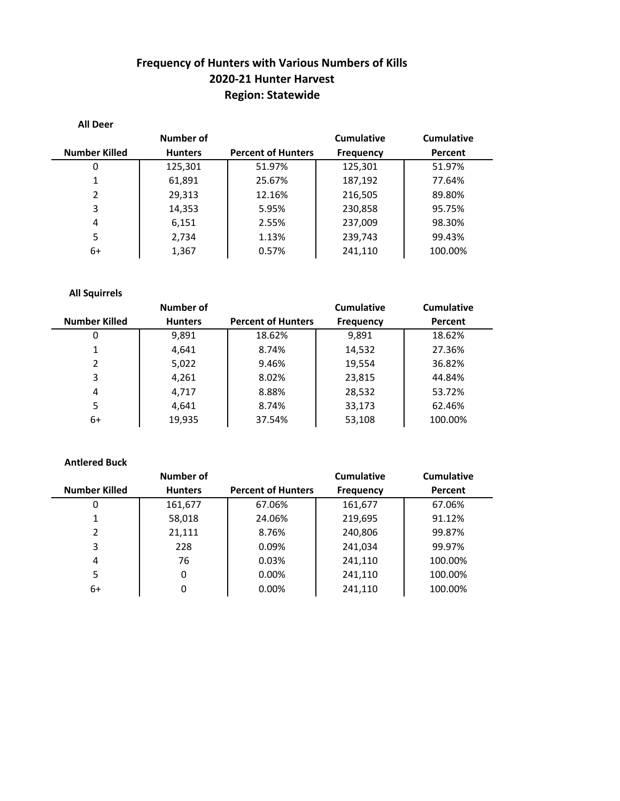# **Frequency of Hunters with Various Numbers of Kills 2020‐21 Hunter Harvest Region: Statewide**

| <b>All Deer</b>      |                |                           |                  |            |
|----------------------|----------------|---------------------------|------------------|------------|
|                      | Number of      |                           | Cumulative       | Cumulative |
| <b>Number Killed</b> | <b>Hunters</b> | <b>Percent of Hunters</b> | <b>Frequency</b> | Percent    |
| 0                    | 125,301        | 51.97%                    | 125,301          | 51.97%     |
| 1                    | 61,891         | 25.67%                    | 187,192          | 77.64%     |
| $\mathcal{P}$        | 29,313         | 12.16%                    | 216,505          | 89.80%     |
| 3                    | 14,353         | 5.95%                     | 230,858          | 95.75%     |
| 4                    | 6,151          | 2.55%                     | 237,009          | 98.30%     |
| 5                    | 2,734          | 1.13%                     | 239,743          | 99.43%     |
| 6+                   | 1,367          | 0.57%                     | 241,110          | 100.00%    |

### **All Squirrels**

|                      | Number of      |                           | Cumulative       | <b>Cumulative</b> |
|----------------------|----------------|---------------------------|------------------|-------------------|
| <b>Number Killed</b> | <b>Hunters</b> | <b>Percent of Hunters</b> | <b>Frequency</b> | Percent           |
| 0                    | 9,891          | 18.62%                    | 9,891            | 18.62%            |
|                      | 4,641          | 8.74%                     | 14,532           | 27.36%            |
| $\mathcal{P}$        | 5,022          | 9.46%                     | 19,554           | 36.82%            |
| 3                    | 4,261          | 8.02%                     | 23,815           | 44.84%            |
| 4                    | 4,717          | 8.88%                     | 28,532           | 53.72%            |
| 5                    | 4,641          | 8.74%                     | 33,173           | 62.46%            |
| 6+                   | 19,935         | 37.54%                    | 53,108           | 100.00%           |

### **Antlered Buck**

|                      | <b>Number of</b> |                           | <b>Cumulative</b> | <b>Cumulative</b> |
|----------------------|------------------|---------------------------|-------------------|-------------------|
| <b>Number Killed</b> | <b>Hunters</b>   | <b>Percent of Hunters</b> | <b>Frequency</b>  | Percent           |
| 0                    | 161,677          | 67.06%                    | 161,677           | 67.06%            |
|                      | 58,018           | 24.06%                    | 219,695           | 91.12%            |
| $\mathcal{P}$        | 21,111           | 8.76%                     | 240,806           | 99.87%            |
| 3                    | 228              | 0.09%                     | 241,034           | 99.97%            |
| 4                    | 76               | 0.03%                     | 241,110           | 100.00%           |
| 5.                   | 0                | 0.00%                     | 241,110           | 100.00%           |
| 6+                   | 0                | 0.00%                     | 241,110           | 100.00%           |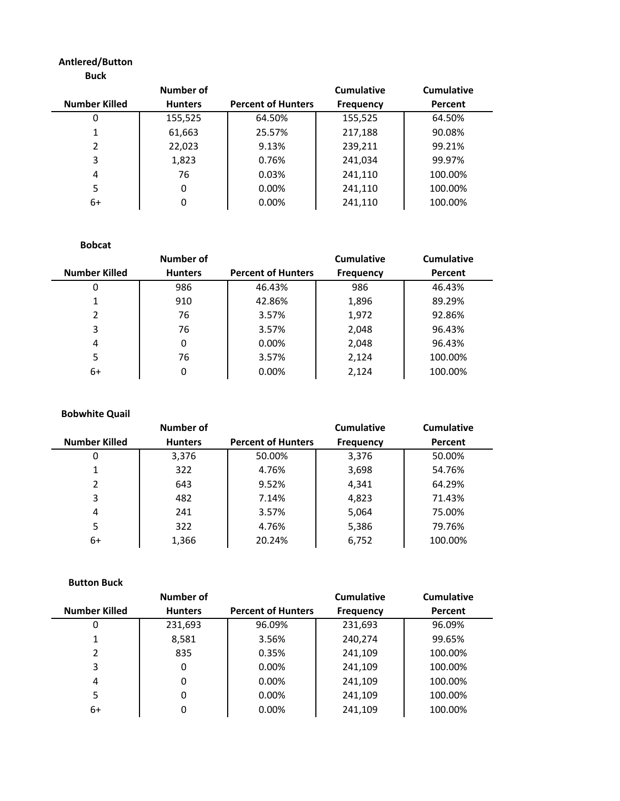#### **Antlered/Button**

|               | Number of      |                           | <b>Cumulative</b> | Cumulative |
|---------------|----------------|---------------------------|-------------------|------------|
| Number Killed | <b>Hunters</b> | <b>Percent of Hunters</b> | <b>Frequency</b>  | Percent    |
| 0             | 155,525        | 64.50%                    | 155,525           | 64.50%     |
|               | 61,663         | 25.57%                    | 217,188           | 90.08%     |
| 2             | 22,023         | 9.13%                     | 239,211           | 99.21%     |
| 3             | 1,823          | 0.76%                     | 241,034           | 99.97%     |
| 4             | 76             | 0.03%                     | 241,110           | 100.00%    |
| 5             | 0              | 0.00%                     | 241,110           | 100.00%    |
| 6+            | 0              | 0.00%                     | 241,110           | 100.00%    |

#### **Bobcat**

|                      | Number of      |                           | <b>Cumulative</b> | <b>Cumulative</b> |
|----------------------|----------------|---------------------------|-------------------|-------------------|
| <b>Number Killed</b> | <b>Hunters</b> | <b>Percent of Hunters</b> | <b>Frequency</b>  | Percent           |
| 0                    | 986            | 46.43%                    | 986               | 46.43%            |
|                      | 910            | 42.86%                    | 1,896             | 89.29%            |
| $\mathcal{P}$        | 76             | 3.57%                     | 1,972             | 92.86%            |
| 3                    | 76             | 3.57%                     | 2,048             | 96.43%            |
| 4                    | 0              | 0.00%                     | 2,048             | 96.43%            |
| 5                    | 76             | 3.57%                     | 2,124             | 100.00%           |
| 6+                   | 0              | 0.00%                     | 2,124             | 100.00%           |

#### **Bobwhite Quail**

|                      | Number of      |                           | <b>Cumulative</b> | <b>Cumulative</b> |
|----------------------|----------------|---------------------------|-------------------|-------------------|
| <b>Number Killed</b> | <b>Hunters</b> | <b>Percent of Hunters</b> | <b>Frequency</b>  | Percent           |
| 0                    | 3,376          | 50.00%                    | 3,376             | 50.00%            |
| 1                    | 322            | 4.76%                     | 3,698             | 54.76%            |
| 2                    | 643            | 9.52%                     | 4,341             | 64.29%            |
| 3                    | 482            | 7.14%                     | 4,823             | 71.43%            |
| 4                    | 241            | 3.57%                     | 5,064             | 75.00%            |
| 5                    | 322            | 4.76%                     | 5,386             | 79.76%            |
| 6+                   | 1,366          | 20.24%                    | 6,752             | 100.00%           |

#### **Button Buck**

|                      | Number of      |                           | <b>Cumulative</b> | <b>Cumulative</b> |
|----------------------|----------------|---------------------------|-------------------|-------------------|
| <b>Number Killed</b> | <b>Hunters</b> | <b>Percent of Hunters</b> | <b>Frequency</b>  | Percent           |
| 0                    | 231,693        | 96.09%                    | 231,693           | 96.09%            |
| 1                    | 8,581          | 3.56%                     | 240,274           | 99.65%            |
| $\mathcal{P}$        | 835            | 0.35%                     | 241,109           | 100.00%           |
| 3                    | 0              | 0.00%                     | 241,109           | 100.00%           |
| 4                    | 0              | 0.00%                     | 241,109           | 100.00%           |
| 5                    | 0              | 0.00%                     | 241,109           | 100.00%           |
| 6+                   | 0              | 0.00%                     | 241,109           | 100.00%           |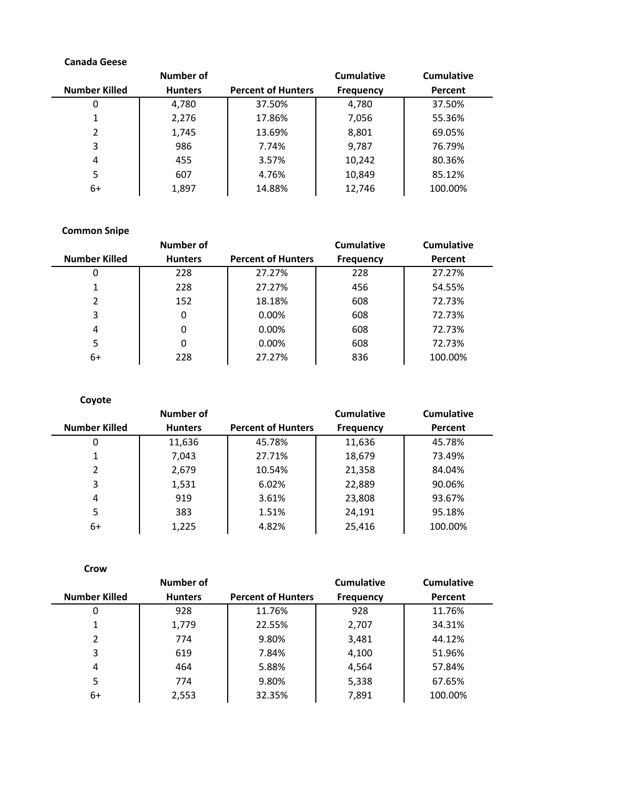### **Canada Geese**

|                      | Number of      |                           | Cumulative       | <b>Cumulative</b> |
|----------------------|----------------|---------------------------|------------------|-------------------|
| <b>Number Killed</b> | <b>Hunters</b> | <b>Percent of Hunters</b> | <b>Frequency</b> | Percent           |
| 0                    | 4,780          | 37.50%                    | 4,780            | 37.50%            |
| 1                    | 2,276          | 17.86%                    | 7,056            | 55.36%            |
| 2                    | 1,745          | 13.69%                    | 8,801            | 69.05%            |
| 3                    | 986            | 7.74%                     | 9,787            | 76.79%            |
| 4                    | 455            | 3.57%                     | 10,242           | 80.36%            |
| 5                    | 607            | 4.76%                     | 10,849           | 85.12%            |
| 6+                   | 1,897          | 14.88%                    | 12,746           | 100.00%           |

### **Common Snipe**

|                      | <b>Number of</b> |                           | <b>Cumulative</b> | <b>Cumulative</b> |
|----------------------|------------------|---------------------------|-------------------|-------------------|
| <b>Number Killed</b> | <b>Hunters</b>   | <b>Percent of Hunters</b> | <b>Frequency</b>  | Percent           |
| 0                    | 228              | 27.27%                    | 228               | 27.27%            |
|                      | 228              | 27.27%                    | 456               | 54.55%            |
| $\mathcal{P}$        | 152              | 18.18%                    | 608               | 72.73%            |
| 3                    | 0                | 0.00%                     | 608               | 72.73%            |
| 4                    | 0                | $0.00\%$                  | 608               | 72.73%            |
| 5                    | 0                | $0.00\%$                  | 608               | 72.73%            |
| 6+                   | 228              | 27.27%                    | 836               | 100.00%           |

| Coyote               |                |                           |                   |                   |
|----------------------|----------------|---------------------------|-------------------|-------------------|
|                      | Number of      |                           | <b>Cumulative</b> | <b>Cumulative</b> |
| <b>Number Killed</b> | <b>Hunters</b> | <b>Percent of Hunters</b> | <b>Frequency</b>  | Percent           |
| 0                    | 11,636         | 45.78%                    | 11,636            | 45.78%            |
|                      | 7,043          | 27.71%                    | 18,679            | 73.49%            |
| $\mathcal{P}$        | 2,679          | 10.54%                    | 21,358            | 84.04%            |
| 3                    | 1,531          | 6.02%                     | 22,889            | 90.06%            |
| 4                    | 919            | 3.61%                     | 23,808            | 93.67%            |
| 5                    | 383            | 1.51%                     | 24,191            | 95.18%            |
| 6+                   | 1,225          | 4.82%                     | 25,416            | 100.00%           |

| Crow                 |                |                           |                   |            |
|----------------------|----------------|---------------------------|-------------------|------------|
|                      | Number of      |                           | <b>Cumulative</b> | Cumulative |
| <b>Number Killed</b> | <b>Hunters</b> | <b>Percent of Hunters</b> | <b>Frequency</b>  | Percent    |
| 0                    | 928            | 11.76%                    | 928               | 11.76%     |
|                      | 1,779          | 22.55%                    | 2,707             | 34.31%     |
| $\mathfrak z$        | 774            | 9.80%                     | 3,481             | 44.12%     |
| 3                    | 619            | 7.84%                     | 4,100             | 51.96%     |
| 4                    | 464            | 5.88%                     | 4,564             | 57.84%     |
| 5                    | 774            | 9.80%                     | 5,338             | 67.65%     |
| 6+                   | 2,553          | 32.35%                    | 7,891             | 100.00%    |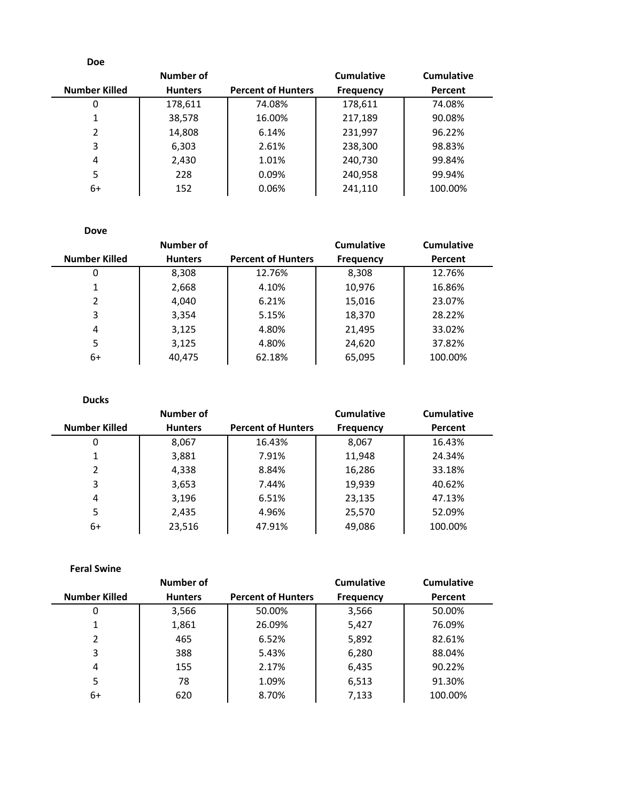| <b>Doe</b>           |                |                           |                   |                   |
|----------------------|----------------|---------------------------|-------------------|-------------------|
|                      | Number of      |                           | <b>Cumulative</b> | <b>Cumulative</b> |
| <b>Number Killed</b> | <b>Hunters</b> | <b>Percent of Hunters</b> | <b>Frequency</b>  | Percent           |
| 0                    | 178,611        | 74.08%                    | 178,611           | 74.08%            |
| 1                    | 38,578         | 16.00%                    | 217,189           | 90.08%            |
| 2                    | 14,808         | 6.14%                     | 231,997           | 96.22%            |
| 3                    | 6,303          | 2.61%                     | 238,300           | 98.83%            |
| 4                    | 2,430          | 1.01%                     | 240,730           | 99.84%            |
| 5                    | 228            | $0.09\%$                  | 240,958           | 99.94%            |
| 6+                   | 152            | 0.06%                     | 241,110           | 100.00%           |

**Dove**

|                      | Number of      |                           | <b>Cumulative</b> | <b>Cumulative</b> |
|----------------------|----------------|---------------------------|-------------------|-------------------|
| <b>Number Killed</b> | <b>Hunters</b> | <b>Percent of Hunters</b> | <b>Frequency</b>  | Percent           |
| 0                    | 8,308          | 12.76%                    | 8,308             | 12.76%            |
|                      | 2,668          | 4.10%                     | 10,976            | 16.86%            |
| $\mathcal{P}$        | 4,040          | 6.21%                     | 15,016            | 23.07%            |
| 3                    | 3,354          | 5.15%                     | 18,370            | 28.22%            |
| 4                    | 3,125          | 4.80%                     | 21,495            | 33.02%            |
| 5.                   | 3,125          | 4.80%                     | 24,620            | 37.82%            |
| 6+                   | 40,475         | 62.18%                    | 65,095            | 100.00%           |

| <b>Ducks</b>         |                |                           |                   |            |
|----------------------|----------------|---------------------------|-------------------|------------|
|                      | Number of      |                           | <b>Cumulative</b> | Cumulative |
| <b>Number Killed</b> | <b>Hunters</b> | <b>Percent of Hunters</b> | <b>Frequency</b>  | Percent    |
| 0                    | 8,067          | 16.43%                    | 8,067             | 16.43%     |
| 1                    | 3,881          | 7.91%                     | 11,948            | 24.34%     |
| 2                    | 4,338          | 8.84%                     | 16,286            | 33.18%     |
| 3                    | 3,653          | 7.44%                     | 19,939            | 40.62%     |
| 4                    | 3,196          | 6.51%                     | 23,135            | 47.13%     |
| 5                    | 2,435          | 4.96%                     | 25,570            | 52.09%     |
| 6+                   | 23,516         | 47.91%                    | 49,086            | 100.00%    |

**Feral Swine**

|               | Number of      |                           | <b>Cumulative</b> | <b>Cumulative</b> |
|---------------|----------------|---------------------------|-------------------|-------------------|
| Number Killed | <b>Hunters</b> | <b>Percent of Hunters</b> | <b>Frequency</b>  | Percent           |
| 0             | 3,566          | 50.00%                    | 3,566             | 50.00%            |
|               | 1,861          | 26.09%                    | 5,427             | 76.09%            |
| $\mathcal{P}$ | 465            | 6.52%                     | 5,892             | 82.61%            |
| 3             | 388            | 5.43%                     | 6,280             | 88.04%            |
| 4             | 155            | 2.17%                     | 6,435             | 90.22%            |
| 5             | 78             | 1.09%                     | 6,513             | 91.30%            |
| 6+            | 620            | 8.70%                     | 7,133             | 100.00%           |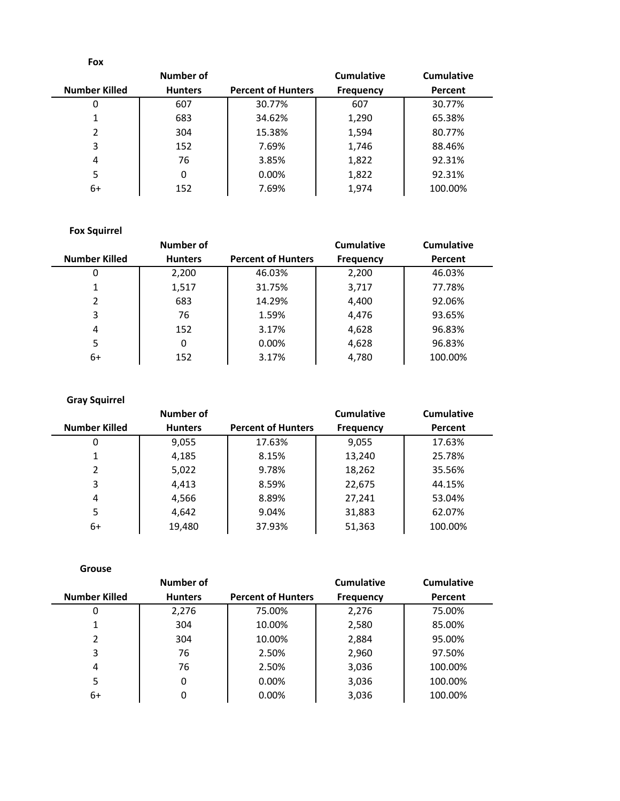| <b>Fox</b>           |                |                           |                   |            |
|----------------------|----------------|---------------------------|-------------------|------------|
|                      | Number of      |                           | <b>Cumulative</b> | Cumulative |
| <b>Number Killed</b> | <b>Hunters</b> | <b>Percent of Hunters</b> | <b>Frequency</b>  | Percent    |
| 0                    | 607            | 30.77%                    | 607               | 30.77%     |
| 1                    | 683            | 34.62%                    | 1,290             | 65.38%     |
| $\mathcal{P}$        | 304            | 15.38%                    | 1,594             | 80.77%     |
| 3                    | 152            | 7.69%                     | 1,746             | 88.46%     |
| 4                    | 76             | 3.85%                     | 1,822             | 92.31%     |
| 5                    | 0              | 0.00%                     | 1,822             | 92.31%     |
| 6+                   | 152            | 7.69%                     | 1,974             | 100.00%    |

## **Fox Squirrel**

|                      | Number of      |                           | <b>Cumulative</b> | <b>Cumulative</b> |
|----------------------|----------------|---------------------------|-------------------|-------------------|
| <b>Number Killed</b> | <b>Hunters</b> | <b>Percent of Hunters</b> | <b>Frequency</b>  | Percent           |
| 0                    | 2,200          | 46.03%                    | 2,200             | 46.03%            |
|                      | 1,517          | 31.75%                    | 3,717             | 77.78%            |
| 2                    | 683            | 14.29%                    | 4,400             | 92.06%            |
| 3                    | 76             | 1.59%                     | 4,476             | 93.65%            |
| 4                    | 152            | 3.17%                     | 4,628             | 96.83%            |
| 5                    | 0              | $0.00\%$                  | 4,628             | 96.83%            |
| 6+                   | 152            | 3.17%                     | 4,780             | 100.00%           |

### **Gray Squirrel**

|                      | Number of      |                           | <b>Cumulative</b> | <b>Cumulative</b> |
|----------------------|----------------|---------------------------|-------------------|-------------------|
| <b>Number Killed</b> | <b>Hunters</b> | <b>Percent of Hunters</b> | <b>Frequency</b>  | Percent           |
| 0                    | 9,055          | 17.63%                    | 9,055             | 17.63%            |
| 1                    | 4,185          | 8.15%                     | 13,240            | 25.78%            |
| 2                    | 5,022          | 9.78%                     | 18,262            | 35.56%            |
| 3                    | 4,413          | 8.59%                     | 22,675            | 44.15%            |
| 4                    | 4,566          | 8.89%                     | 27,241            | 53.04%            |
| 5                    | 4,642          | 9.04%                     | 31,883            | 62.07%            |
| 6+                   | 19,480         | 37.93%                    | 51,363            | 100.00%           |

|                      | Number of      |                           | <b>Cumulative</b> | <b>Cumulative</b> |
|----------------------|----------------|---------------------------|-------------------|-------------------|
| <b>Number Killed</b> | <b>Hunters</b> | <b>Percent of Hunters</b> | <b>Frequency</b>  | Percent           |
| 0                    | 2,276          | 75.00%                    | 2,276             | 75.00%            |
|                      | 304            | 10.00%                    | 2,580             | 85.00%            |
| $\mathcal{P}$        | 304            | 10.00%                    | 2,884             | 95.00%            |
| 3                    | 76             | 2.50%                     | 2,960             | 97.50%            |
| 4                    | 76             | 2.50%                     | 3,036             | 100.00%           |
| 5                    | 0              | 0.00%                     | 3,036             | 100.00%           |
| 6+                   | 0              | 0.00%                     | 3,036             | 100.00%           |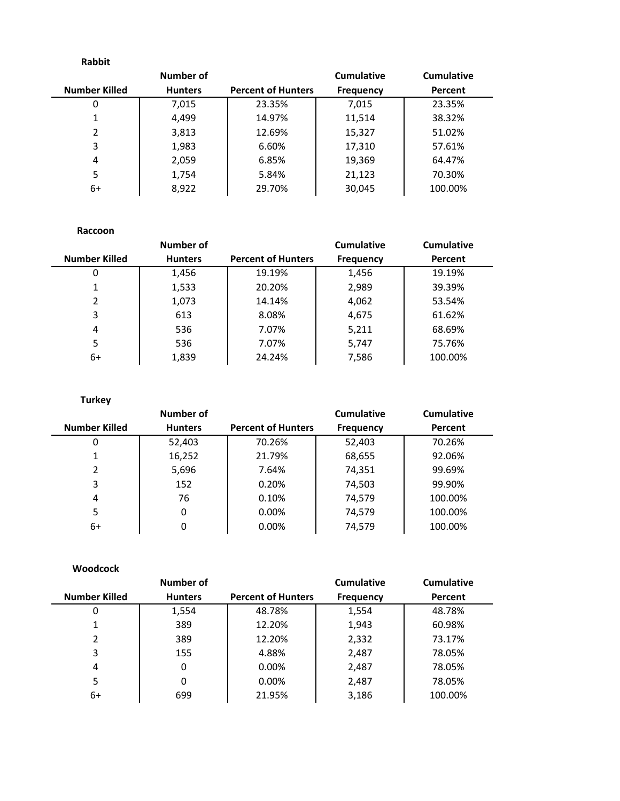| <b>Rabbit</b>        |                |                           |                   |                   |
|----------------------|----------------|---------------------------|-------------------|-------------------|
|                      | Number of      |                           | <b>Cumulative</b> | <b>Cumulative</b> |
| <b>Number Killed</b> | <b>Hunters</b> | <b>Percent of Hunters</b> | <b>Frequency</b>  | Percent           |
| 0                    | 7,015          | 23.35%                    | 7,015             | 23.35%            |
| 1                    | 4,499          | 14.97%                    | 11,514            | 38.32%            |
| 2                    | 3,813          | 12.69%                    | 15,327<br>51.02%  |                   |
| 3                    | 1,983          | 6.60%                     | 17,310<br>57.61%  |                   |
| 4                    | 2,059          | 6.85%                     | 19,369<br>64.47%  |                   |
| 5                    | 1,754          | 5.84%                     | 21,123            | 70.30%            |
| 6+                   | 8,922          | 29.70%                    | 30,045            | 100.00%           |

| Raccoon              |                |                           |                  |                   |  |
|----------------------|----------------|---------------------------|------------------|-------------------|--|
|                      | Number of      |                           | Cumulative       | <b>Cumulative</b> |  |
| <b>Number Killed</b> | <b>Hunters</b> | <b>Percent of Hunters</b> | <b>Frequency</b> | Percent           |  |
| 0                    | 1,456          | 19.19%                    | 1,456            | 19.19%            |  |
| 1                    | 1,533          | 20.20%                    | 2,989            | 39.39%            |  |
| $\mathcal{P}$        | 1,073          | 14.14%                    | 4,062<br>53.54%  |                   |  |
| 3                    | 613            | 8.08%                     | 4,675<br>61.62%  |                   |  |
| 4                    | 536            | 7.07%                     | 5,211<br>68.69%  |                   |  |
| 5                    | 536            | 7.07%                     | 5,747            | 75.76%            |  |
| 6+                   | 1,839          | 24.24%                    | 7,586            | 100.00%           |  |

| <b>Turkey</b>        |                |                           |                   |            |
|----------------------|----------------|---------------------------|-------------------|------------|
|                      | Number of      |                           | <b>Cumulative</b> | Cumulative |
| <b>Number Killed</b> | <b>Hunters</b> | <b>Percent of Hunters</b> | <b>Frequency</b>  | Percent    |
| $\Omega$             | 52,403         | 70.26%                    | 52,403            | 70.26%     |
| 1                    | 16,252         | 21.79%                    | 68,655            | 92.06%     |
| $\mathcal{P}$        | 5,696          | 7.64%                     | 74,351            | 99.69%     |
| 3                    | 152            | 0.20%                     | 74,503<br>99.90%  |            |
| 4                    | 76             | 0.10%                     | 74,579<br>100.00% |            |
| 5                    | 0              | 0.00%                     | 74,579            | 100.00%    |
| 6+                   | 0              | 0.00%                     | 74,579            | 100.00%    |

| <b>Woodcock</b>      |                |                           |                  |            |
|----------------------|----------------|---------------------------|------------------|------------|
|                      | Number of      |                           | Cumulative       | Cumulative |
| <b>Number Killed</b> | <b>Hunters</b> | <b>Percent of Hunters</b> | <b>Frequency</b> | Percent    |
| 0                    | 1,554          | 48.78%                    | 1,554            | 48.78%     |
| 1                    | 389            | 12.20%                    | 1,943            | 60.98%     |
| 2                    | 389            | 12.20%                    | 2,332            | 73.17%     |
| 3                    | 155            | 4.88%                     | 2,487            | 78.05%     |
| 4                    | 0              | 0.00%                     | 2,487            | 78.05%     |
| 5                    | 0              | 0.00%                     | 2,487            | 78.05%     |
| $6+$                 | 699            | 21.95%                    | 3,186            | 100.00%    |